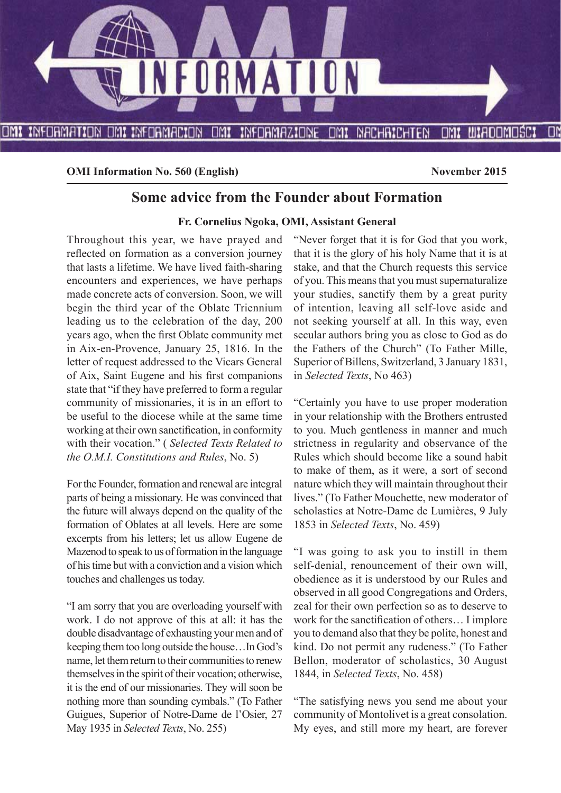

**OMI Information No. 560 (English)** November 2015

# **Some advice from the Founder about Formation**

#### **Fr. Cornelius Ngoka, OMI, Assistant General**

Throughout this year, we have prayed and reflected on formation as a conversion journey that lasts a lifetime. We have lived faith-sharing encounters and experiences, we have perhaps made concrete acts of conversion. Soon, we will begin the third year of the Oblate Triennium leading us to the celebration of the day, 200 years ago, when the first Oblate community met in Aix-en-Provence, January 25, 1816. In the letter of request addressed to the Vicars General of Aix, Saint Eugene and his first companions state that "if they have preferred to form a regular community of missionaries, it is in an effort to be useful to the diocese while at the same time working at their own sanctification, in conformity with their vocation." ( *Selected Texts Related to the O.M.I. Constitutions and Rules*, No. 5)

For the Founder, formation and renewal are integral parts of being a missionary. He was convinced that the future will always depend on the quality of the formation of Oblates at all levels. Here are some excerpts from his letters; let us allow Eugene de Mazenod to speak to us of formation in the language of his time but with a conviction and a vision which touches and challenges us today.

"I am sorry that you are overloading yourself with work. I do not approve of this at all: it has the double disadvantage of exhausting your men and of keeping them too long outside the house…In God's name, let them return to their communities to renew themselves in the spirit of their vocation; otherwise, it is the end of our missionaries. They will soon be nothing more than sounding cymbals." (To Father Guigues, Superior of Notre-Dame de l'Osier, 27 May 1935 in *Selected Texts*, No. 255)

"Never forget that it is for God that you work, that it is the glory of his holy Name that it is at stake, and that the Church requests this service of you. This means that you must supernaturalize your studies, sanctify them by a great purity of intention, leaving all self-love aside and not seeking yourself at all. In this way, even secular authors bring you as close to God as do the Fathers of the Church" (To Father Mille, Superior of Billens, Switzerland, 3 January 1831, in *Selected Texts*, No 463)

"Certainly you have to use proper moderation in your relationship with the Brothers entrusted to you. Much gentleness in manner and much strictness in regularity and observance of the Rules which should become like a sound habit to make of them, as it were, a sort of second nature which they will maintain throughout their lives." (To Father Mouchette, new moderator of scholastics at Notre-Dame de Lumières, 9 July 1853 in *Selected Texts*, No. 459)

"I was going to ask you to instill in them self-denial, renouncement of their own will, obedience as it is understood by our Rules and observed in all good Congregations and Orders, zeal for their own perfection so as to deserve to work for the sanctification of others... I implore you to demand also that they be polite, honest and kind. Do not permit any rudeness." (To Father Bellon, moderator of scholastics, 30 August 1844, in *Selected Texts*, No. 458)

"The satisfying news you send me about your community of Montolivet is a great consolation. My eyes, and still more my heart, are forever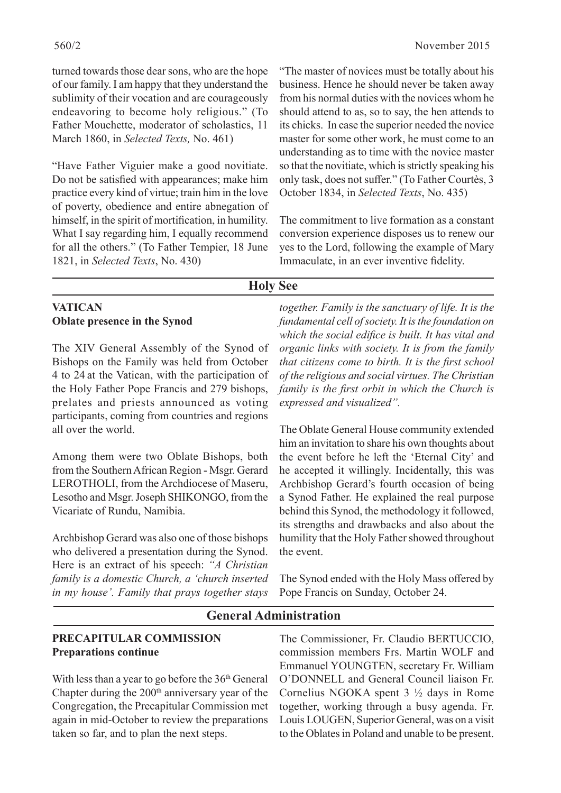turned towards those dear sons, who are the hope of our family. I am happy that they understand the sublimity of their vocation and are courageously endeavoring to become holy religious." (To Father Mouchette, moderator of scholastics, 11 March 1860, in *Selected Texts,* No. 461)

"Have Father Viguier make a good novitiate. Do not be satisfied with appearances; make him practice every kind of virtue; train him in the love of poverty, obedience and entire abnegation of himself, in the spirit of mortification, in humility. What I say regarding him, I equally recommend for all the others." (To Father Tempier, 18 June 1821, in *Selected Texts*, No. 430)

"The master of novices must be totally about his business. Hence he should never be taken away from his normal duties with the novices whom he should attend to as, so to say, the hen attends to its chicks. In case the superior needed the novice master for some other work, he must come to an understanding as to time with the novice master so that the novitiate, which is strictly speaking his only task, does not suffer." (To Father Courtès, 3 October 1834, in *Selected Texts*, No. 435)

The commitment to live formation as a constant conversion experience disposes us to renew our yes to the Lord, following the example of Mary Immaculate, in an ever inventive fidelity.

# **Holy See**

# **VATICAN Oblate presence in the Synod**

The XIV General Assembly of the Synod of Bishops on the Family was held from October 4 to 24 at the Vatican, with the participation of the Holy Father Pope Francis and 279 bishops, prelates and priests announced as voting participants, coming from countries and regions all over the world.

Among them were two Oblate Bishops, both from the Southern African Region - Msgr. Gerard LEROTHOLI, from the Archdiocese of Maseru, Lesotho and Msgr. Joseph SHIKONGO, from the Vicariate of Rundu, Namibia.

Archbishop Gerard was also one of those bishops who delivered a presentation during the Synod. Here is an extract of his speech: *"A Christian family is a domestic Church, a 'church inserted in my house'. Family that prays together stays* 

*together. Family is the sanctuary of life. It is the fundamental cell of society. It is the foundation on*  which the social edifice is built. It has vital and *organic links with society. It is from the family that citizens come to birth. It is the first school of the religious and social virtues. The Christian family is the first orbit in which the Church is expressed and visualized".* 

The Oblate General House community extended him an invitation to share his own thoughts about the event before he left the 'Eternal City' and he accepted it willingly. Incidentally, this was Archbishop Gerard's fourth occasion of being a Synod Father. He explained the real purpose behind this Synod, the methodology it followed, its strengths and drawbacks and also about the humility that the Holy Father showed throughout the event.

The Synod ended with the Holy Mass offered by Pope Francis on Sunday, October 24.

# **General Administration**

# **PRECAPITULAR COMMISSION Preparations continue**

With less than a year to go before the  $36<sup>th</sup>$  General Chapter during the 200<sup>th</sup> anniversary year of the Congregation, the Precapitular Commission met again in mid-October to review the preparations taken so far, and to plan the next steps.

The Commissioner, Fr. Claudio BERTUCCIO, commission members Frs. Martin WOLF and Emmanuel YOUNGTEN, secretary Fr. William O'DONNELL and General Council liaison Fr. Cornelius NGOKA spent 3 ½ days in Rome together, working through a busy agenda. Fr. Louis LOUGEN, Superior General, was on a visit to the Oblates in Poland and unable to be present.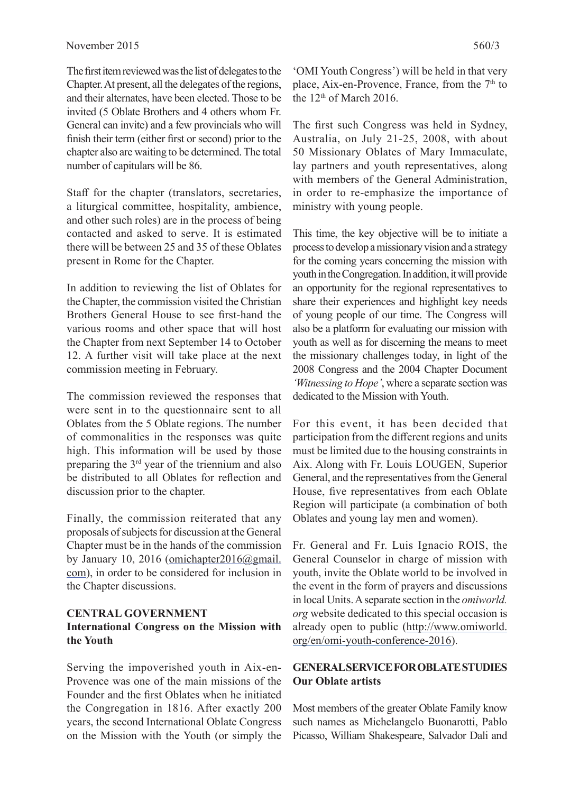The first item reviewed was the list of delegates to the Chapter. At present, all the delegates of the regions, and their alternates, have been elected. Those to be invited (5 Oblate Brothers and 4 others whom Fr. General can invite) and a few provincials who will finish their term (either first or second) prior to the chapter also are waiting to be determined. The total number of capitulars will be 86.

Staff for the chapter (translators, secretaries, a liturgical committee, hospitality, ambience, and other such roles) are in the process of being contacted and asked to serve. It is estimated there will be between 25 and 35 of these Oblates present in Rome for the Chapter.

In addition to reviewing the list of Oblates for the Chapter, the commission visited the Christian Brothers General House to see first-hand the various rooms and other space that will host the Chapter from next September 14 to October 12. A further visit will take place at the next commission meeting in February.

The commission reviewed the responses that were sent in to the questionnaire sent to all Oblates from the 5 Oblate regions. The number of commonalities in the responses was quite high. This information will be used by those preparing the 3rd year of the triennium and also be distributed to all Oblates for reflection and discussion prior to the chapter.

Finally, the commission reiterated that any proposals of subjects for discussion at the General Chapter must be in the hands of the commission by January 10, 2016 (omichapter2016@gmail. com), in order to be considered for inclusion in the Chapter discussions.

# **CENTRAL GOVERNMENT International Congress on the Mission with the Youth**

Serving the impoverished youth in Aix-en-Provence was one of the main missions of the Founder and the first Oblates when he initiated the Congregation in 1816. After exactly 200 years, the second International Oblate Congress on the Mission with the Youth (or simply the

'OMI Youth Congress') will be held in that very place, Aix-en-Provence, France, from the  $7<sup>th</sup>$  to the  $12<sup>th</sup>$  of March 2016.

The first such Congress was held in Sydney, Australia, on July 21-25, 2008, with about 50 Missionary Oblates of Mary Immaculate, lay partners and youth representatives, along with members of the General Administration, in order to re-emphasize the importance of ministry with young people.

This time, the key objective will be to initiate a process to develop a missionary vision and a strategy for the coming years concerning the mission with youth in the Congregation. In addition, it will provide an opportunity for the regional representatives to share their experiences and highlight key needs of young people of our time. The Congress will also be a platform for evaluating our mission with youth as well as for discerning the means to meet the missionary challenges today, in light of the 2008 Congress and the 2004 Chapter Document *'Witnessing to Hope'*, where a separate section was dedicated to the Mission with Youth.

For this event, it has been decided that participation from the different regions and units must be limited due to the housing constraints in Aix. Along with Fr. Louis LOUGEN, Superior General, and the representatives from the General House, five representatives from each Oblate Region will participate (a combination of both Oblates and young lay men and women).

Fr. General and Fr. Luis Ignacio ROIS, the General Counselor in charge of mission with youth, invite the Oblate world to be involved in the event in the form of prayers and discussions in local Units. A separate section in the *omiworld. org* website dedicated to this special occasion is already open to public (http://www.omiworld. org/en/omi-youth-conference-2016).

# **GENERAL SERVICE FOR OBLATE STUDIES Our Oblate artists**

Most members of the greater Oblate Family know such names as Michelangelo Buonarotti, Pablo Picasso, William Shakespeare, Salvador Dali and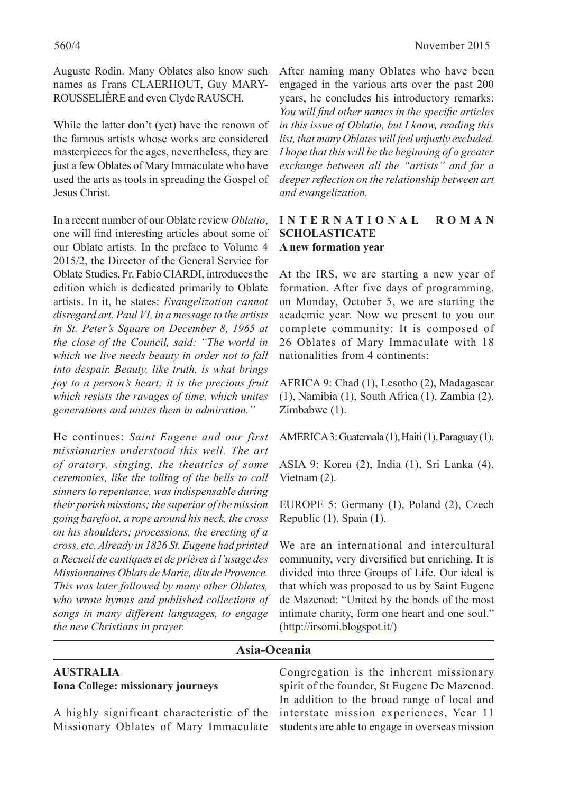Auguste Rodin. Many Oblates also know such names as Frans CLAERHOUT, Guy MARY-ROUSSELIÈRE and even Clyde RAUSCH.

While the latter don't (yet) have the renown of the famous artists whose works are considered masterpieces for the ages, nevertheless, they are just a few Oblates of Mary Immaculate who have used the arts as tools in spreading the Gospel of Jesus Christ.

In a recent number of our Oblate review *Oblatio*, one will find interesting articles about some of our Oblate artists. In the preface to Volume 4 2015/2, the Director of the General Service for Oblate Studies, Fr. Fabio CIARDI, introduces the edition which is dedicated primarily to Oblate artists. In it, he states: *Evangelization cannot disregard art. Paul VI, in a message to the artists in St. Peter's Square on December 8, 1965 at the close of the Council, said: "The world in which we live needs beauty in order not to fall into despair. Beauty, like truth, is what brings joy to a person's heart; it is the precious fruit which resists the ravages of time, which unites generations and unites them in admiration."*

He continues: *Saint Eugene and our first missionaries understood this well. The art of oratory, singing, the theatrics of some ceremonies, like the tolling of the bells to call sinners to repentance, was indispensable during their parish missions; the superior of the mission going barefoot, a rope around his neck, the cross on his shoulders; processions, the erecting of a cross, etc. Already in 1826 St. Eugene had printed a Recueil de cantiques et de prières à l'usage des Missionnaires Oblats de Marie, dits de Provence. This was later followed by many other Oblates, who wrote hymns and published collections of songs in many diff erent languages, to engage the new Christians in prayer.*

After naming many Oblates who have been engaged in the various arts over the past 200 years, he concludes his introductory remarks: *You will find other names in the specific articles in this issue of Oblatio, but I know, reading this list, that many Oblates will feel unjustly excluded. I hope that this will be the beginning of a greater exchange between all the "artists" and for a deeper reflection on the relationship between art and evangelization.*

# **I N T E R N A T I O N A L R O M A N SCHOLASTICATE A new formation year**

At the IRS, we are starting a new year of formation. After five days of programming, on Monday, October 5, we are starting the academic year. Now we present to you our complete community: It is composed of 26 Oblates of Mary Immaculate with 18 nationalities from 4 continents:

AFRICA 9: Chad (1), Lesotho (2), Madagascar (1), Namibia (1), South Africa (1), Zambia (2), Zimbabwe (1).

AMERICA 3: Guatemala (1), Haiti (1), Paraguay (1).

ASIA 9: Korea (2), India (1), Sri Lanka (4), Vietnam (2).

EUROPE 5: Germany (1), Poland (2), Czech Republic (1), Spain (1).

We are an international and intercultural community, very diversified but enriching. It is divided into three Groups of Life. Our ideal is that which was proposed to us by Saint Eugene de Mazenod: "United by the bonds of the most intimate charity, form one heart and one soul." (http://irsomi.blogspot.it/)

# **Asia-Oceania**

# **AUSTRALIA Iona College: missionary journeys**

A highly significant characteristic of the Missionary Oblates of Mary Immaculate

Congregation is the inherent missionary spirit of the founder, St Eugene De Mazenod. In addition to the broad range of local and interstate mission experiences, Year 11 students are able to engage in overseas mission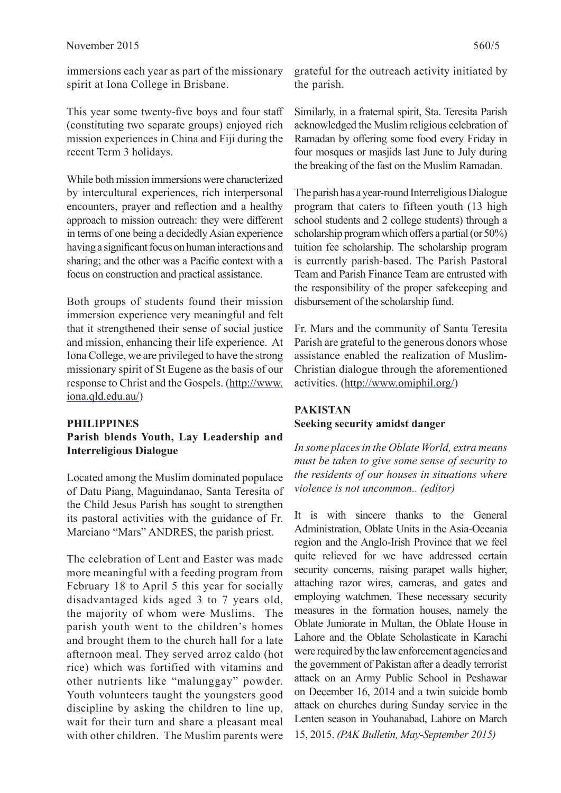immersions each year as part of the missionary spirit at Iona College in Brisbane.

This year some twenty-five boys and four staff (constituting two separate groups) enjoyed rich mission experiences in China and Fiji during the recent Term 3 holidays.

While both mission immersions were characterized by intercultural experiences, rich interpersonal encounters, prayer and reflection and a healthy approach to mission outreach: they were different in terms of one being a decidedly Asian experience having a significant focus on human interactions and sharing; and the other was a Pacific context with a focus on construction and practical assistance.

Both groups of students found their mission immersion experience very meaningful and felt that it strengthened their sense of social justice and mission, enhancing their life experience. At Iona College, we are privileged to have the strong missionary spirit of St Eugene as the basis of our response to Christ and the Gospels. (http://www. iona.qld.edu.au/)

# **PHILIPPINES Parish blends Youth, Lay Leadership and Interreligious Dialogue**

Located among the Muslim dominated populace of Datu Piang, Maguindanao, Santa Teresita of the Child Jesus Parish has sought to strengthen its pastoral activities with the guidance of Fr. Marciano "Mars" ANDRES, the parish priest.

The celebration of Lent and Easter was made more meaningful with a feeding program from February 18 to April 5 this year for socially disadvantaged kids aged 3 to 7 years old, the majority of whom were Muslims. The parish youth went to the children's homes and brought them to the church hall for a late afternoon meal. They served arroz caldo (hot rice) which was fortified with vitamins and other nutrients like "malunggay" powder. Youth volunteers taught the youngsters good discipline by asking the children to line up, wait for their turn and share a pleasant meal with other children. The Muslim parents were grateful for the outreach activity initiated by the parish.

Similarly, in a fraternal spirit, Sta. Teresita Parish acknowledged the Muslim religious celebration of Ramadan by offering some food every Friday in four mosques or masjids last June to July during the breaking of the fast on the Muslim Ramadan.

The parish has a year-round Interreligious Dialogue program that caters to fifteen youth (13 high school students and 2 college students) through a scholarship program which offers a partial (or  $50\%$ ) tuition fee scholarship. The scholarship program is currently parish-based. The Parish Pastoral Team and Parish Finance Team are entrusted with the responsibility of the proper safekeeping and disbursement of the scholarship fund.

Fr. Mars and the community of Santa Teresita Parish are grateful to the generous donors whose assistance enabled the realization of Muslim-Christian dialogue through the aforementioned activities. (http://www.omiphil.org/)

# **PAKISTAN Seeking security amidst danger**

*In some places in the Oblate World, extra means must be taken to give some sense of security to the residents of our houses in situations where violence is not uncommon.. (editor)*

It is with sincere thanks to the General Administration, Oblate Units in the Asia-Oceania region and the Anglo-Irish Province that we feel quite relieved for we have addressed certain security concerns, raising parapet walls higher, attaching razor wires, cameras, and gates and employing watchmen. These necessary security measures in the formation houses, namely the Oblate Juniorate in Multan, the Oblate House in Lahore and the Oblate Scholasticate in Karachi were required by the law enforcement agencies and the government of Pakistan after a deadly terrorist attack on an Army Public School in Peshawar on December 16, 2014 and a twin suicide bomb attack on churches during Sunday service in the Lenten season in Youhanabad, Lahore on March 15, 2015. *(PAK Bulletin, May-September 2015)*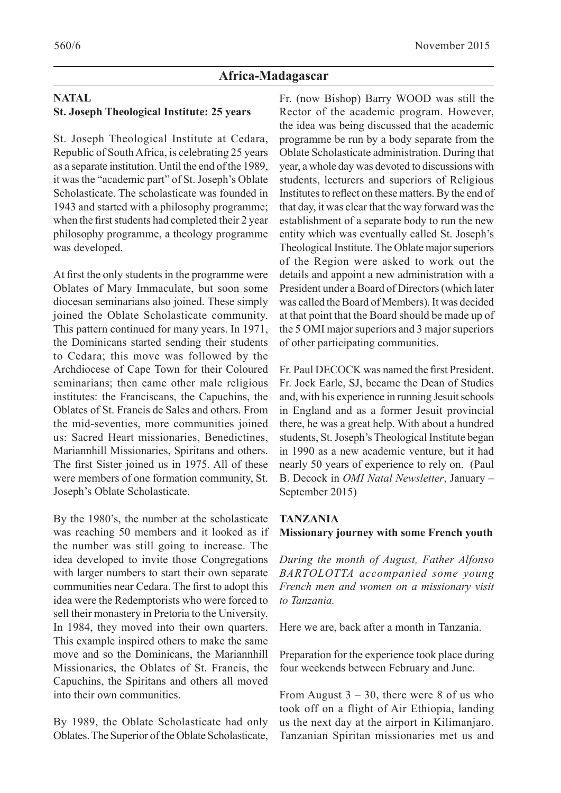# **Africa-Madagascar**

# **NATAL St. Joseph Theological Institute: 25 years**

St. Joseph Theological Institute at Cedara, Republic of South Africa, is celebrating 25 years as a separate institution. Until the end of the 1989, it was the "academic part" of St. Joseph's Oblate Scholasticate. The scholasticate was founded in 1943 and started with a philosophy programme; when the first students had completed their 2 year philosophy programme, a theology programme was developed.

At first the only students in the programme were Oblates of Mary Immaculate, but soon some diocesan seminarians also joined. These simply joined the Oblate Scholasticate community. This pattern continued for many years. In 1971, the Dominicans started sending their students to Cedara; this move was followed by the Archdiocese of Cape Town for their Coloured seminarians; then came other male religious institutes: the Franciscans, the Capuchins, the Oblates of St. Francis de Sales and others. From the mid-seventies, more communities joined us: Sacred Heart missionaries, Benedictines, Mariannhill Missionaries, Spiritans and others. The first Sister joined us in 1975. All of these were members of one formation community, St. Joseph's Oblate Scholasticate.

By the 1980's, the number at the scholasticate was reaching 50 members and it looked as if the number was still going to increase. The idea developed to invite those Congregations with larger numbers to start their own separate communities near Cedara. The first to adopt this idea were the Redemptorists who were forced to sell their monastery in Pretoria to the University. In 1984, they moved into their own quarters. This example inspired others to make the same move and so the Dominicans, the Mariannhill Missionaries, the Oblates of St. Francis, the Capuchins, the Spiritans and others all moved into their own communities.

By 1989, the Oblate Scholasticate had only Oblates. The Superior of the Oblate Scholasticate,

Fr. (now Bishop) Barry WOOD was still the Rector of the academic program. However, the idea was being discussed that the academic programme be run by a body separate from the Oblate Scholasticate administration. During that year, a whole day was devoted to discussions with students, lecturers and superiors of Religious Institutes to reflect on these matters. By the end of that day, it was clear that the way forward was the establishment of a separate body to run the new entity which was eventually called St. Joseph's Theological Institute. The Oblate major superiors of the Region were asked to work out the details and appoint a new administration with a President under a Board of Directors (which later was called the Board of Members). It was decided at that point that the Board should be made up of the 5 OMI major superiors and 3 major superiors of other participating communities.

Fr. Paul DECOCK was named the first President. Fr. Jock Earle, SJ, became the Dean of Studies and, with his experience in running Jesuit schools in England and as a former Jesuit provincial there, he was a great help. With about a hundred students, St. Joseph's Theological Institute began in 1990 as a new academic venture, but it had nearly 50 years of experience to rely on. (Paul B. Decock in *OMI Natal Newsletter*, January – September 2015)

# **TANZANIA**

**Missionary journey with some French youth**

*During the month of August, Father Alfonso BARTOLOTTA accompanied some young French men and women on a missionary visit to Tanzania.*

Here we are, back after a month in Tanzania.

Preparation for the experience took place during four weekends between February and June.

From August  $3 - 30$ , there were 8 of us who took off on a flight of Air Ethiopia, landing us the next day at the airport in Kilimanjaro. Tanzanian Spiritan missionaries met us and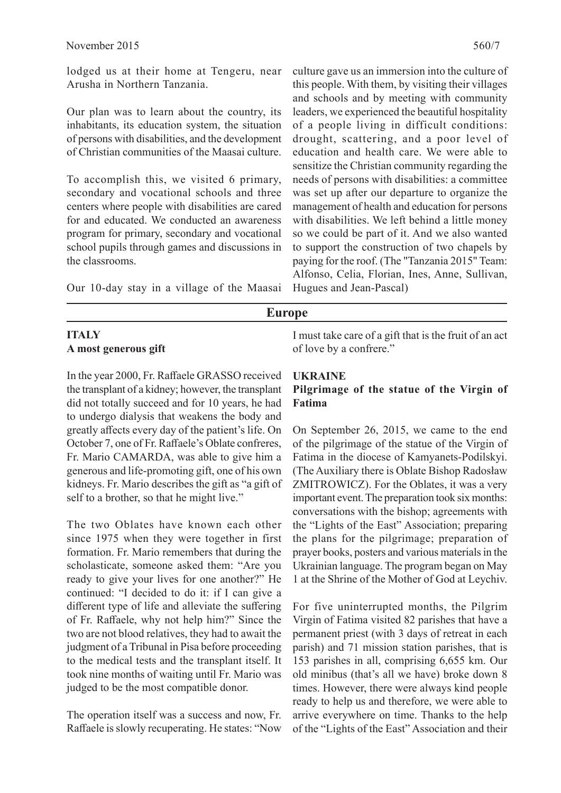lodged us at their home at Tengeru, near Arusha in Northern Tanzania.

Our plan was to learn about the country, its inhabitants, its education system, the situation of persons with disabilities, and the development of Christian communities of the Maasai culture.

To accomplish this, we visited 6 primary, secondary and vocational schools and three centers where people with disabilities are cared for and educated. We conducted an awareness program for primary, secondary and vocational school pupils through games and discussions in the classrooms.

Our 10-day stay in a village of the Maasai

# **ITALY A most generous gift**

In the year 2000, Fr. Raffaele GRASSO received the transplant of a kidney; however, the transplant did not totally succeed and for 10 years, he had to undergo dialysis that weakens the body and greatly affects every day of the patient's life. On October 7, one of Fr. Raffaele's Oblate confreres, Fr. Mario CAMARDA, was able to give him a generous and life-promoting gift, one of his own kidneys. Fr. Mario describes the gift as "a gift of self to a brother, so that he might live."

The two Oblates have known each other since 1975 when they were together in first formation. Fr. Mario remembers that during the scholasticate, someone asked them: "Are you ready to give your lives for one another?" He continued: "I decided to do it: if I can give a different type of life and alleviate the suffering of Fr. Raffaele, why not help him?" Since the two are not blood relatives, they had to await the judgment of a Tribunal in Pisa before proceeding to the medical tests and the transplant itself. It took nine months of waiting until Fr. Mario was judged to be the most compatible donor.

The operation itself was a success and now, Fr. Raffaele is slowly recuperating. He states: "Now

culture gave us an immersion into the culture of this people. With them, by visiting their villages and schools and by meeting with community leaders, we experienced the beautiful hospitality of a people living in difficult conditions: drought, scattering, and a poor level of education and health care. We were able to sensitize the Christian community regarding the needs of persons with disabilities: a committee was set up after our departure to organize the management of health and education for persons with disabilities. We left behind a little money so we could be part of it. And we also wanted to support the construction of two chapels by paying for the roof. (The "Tanzania 2015" Team: Alfonso, Celia, Florian, Ines, Anne, Sullivan, Hugues and Jean-Pascal)

**Europe**

I must take care of a gift that is the fruit of an act of love by a confrere."

# **UKRAINE**

# **Pilgrimage of the statue of the Virgin of Fatima**

On September 26, 2015, we came to the end of the pilgrimage of the statue of the Virgin of Fatima in the diocese of Kamyanets-Podilskyi. (The Auxiliary there is Oblate Bishop Radosław ZMITROWICZ). For the Oblates, it was a very important event. The preparation took six months: conversations with the bishop; agreements with the "Lights of the East" Association; preparing the plans for the pilgrimage; preparation of prayer books, posters and various materials in the Ukrainian language. The program began on May 1 at the Shrine of the Mother of God at Leychiv.

For five uninterrupted months, the Pilgrim Virgin of Fatima visited 82 parishes that have a permanent priest (with 3 days of retreat in each parish) and 71 mission station parishes, that is 153 parishes in all, comprising 6,655 km. Our old minibus (that's all we have) broke down 8 times. However, there were always kind people ready to help us and therefore, we were able to arrive everywhere on time. Thanks to the help of the "Lights of the East" Association and their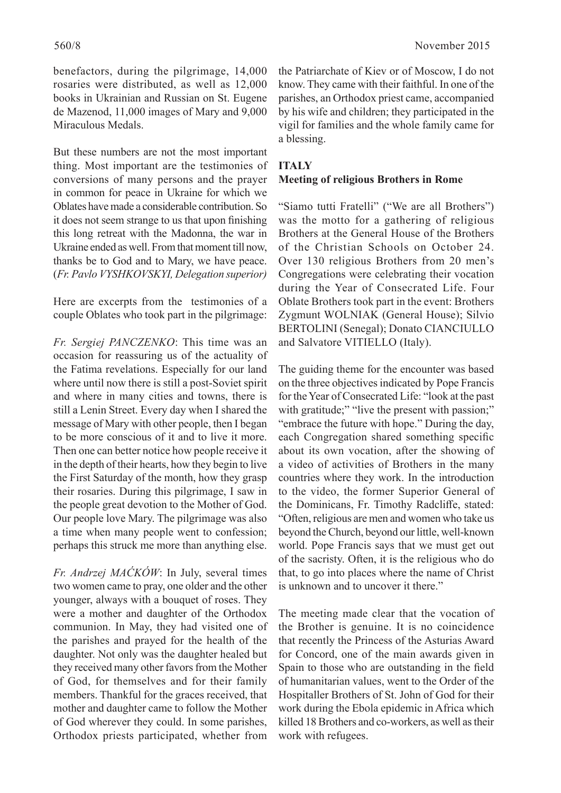benefactors, during the pilgrimage, 14,000 rosaries were distributed, as well as 12,000 books in Ukrainian and Russian on St. Eugene de Mazenod, 11,000 images of Mary and 9,000 Miraculous Medals.

But these numbers are not the most important thing. Most important are the testimonies of conversions of many persons and the prayer in common for peace in Ukraine for which we Oblates have made a considerable contribution. So it does not seem strange to us that upon finishing this long retreat with the Madonna, the war in Ukraine ended as well. From that moment till now, thanks be to God and to Mary, we have peace. (*Fr. Pavlo VYSHKOVSKYI, Delegation superior)*

Here are excerpts from the testimonies of a couple Oblates who took part in the pilgrimage:

*Fr. Sergiej PANCZENKO*: This time was an occasion for reassuring us of the actuality of the Fatima revelations. Especially for our land where until now there is still a post-Soviet spirit and where in many cities and towns, there is still a Lenin Street. Every day when I shared the message of Mary with other people, then I began to be more conscious of it and to live it more. Then one can better notice how people receive it in the depth of their hearts, how they begin to live the First Saturday of the month, how they grasp their rosaries. During this pilgrimage, I saw in the people great devotion to the Mother of God. Our people love Mary. The pilgrimage was also a time when many people went to confession; perhaps this struck me more than anything else.

*Fr. Andrzej MAĆKÓW*: In July, several times two women came to pray, one older and the other younger, always with a bouquet of roses. They were a mother and daughter of the Orthodox communion. In May, they had visited one of the parishes and prayed for the health of the daughter. Not only was the daughter healed but they received many other favors from the Mother of God, for themselves and for their family members. Thankful for the graces received, that mother and daughter came to follow the Mother of God wherever they could. In some parishes, Orthodox priests participated, whether from

the Patriarchate of Kiev or of Moscow, I do not know. They came with their faithful. In one of the parishes, an Orthodox priest came, accompanied by his wife and children; they participated in the vigil for families and the whole family came for a blessing.

# **ITALY Meeting of religious Brothers in Rome**

"Siamo tutti Fratelli" ("We are all Brothers") was the motto for a gathering of religious Brothers at the General House of the Brothers of the Christian Schools on October 24. Over 130 religious Brothers from 20 men's Congregations were celebrating their vocation during the Year of Consecrated Life. Four Oblate Brothers took part in the event: Brothers Zygmunt WOLNIAK (General House); Silvio BERTOLINI (Senegal); Donato CIANCIULLO and Salvatore VITIELLO (Italy).

The guiding theme for the encounter was based on the three objectives indicated by Pope Francis for the Year of Consecrated Life: "look at the past with gratitude;" "live the present with passion;" "embrace the future with hope." During the day, each Congregation shared something specific about its own vocation, after the showing of a video of activities of Brothers in the many countries where they work. In the introduction to the video, the former Superior General of the Dominicans, Fr. Timothy Radcliffe, stated: "Often, religious are men and women who take us beyond the Church, beyond our little, well-known world. Pope Francis says that we must get out of the sacristy. Often, it is the religious who do that, to go into places where the name of Christ is unknown and to uncover it there."

The meeting made clear that the vocation of the Brother is genuine. It is no coincidence that recently the Princess of the Asturias Award for Concord, one of the main awards given in Spain to those who are outstanding in the field of humanitarian values, went to the Order of the Hospitaller Brothers of St. John of God for their work during the Ebola epidemic in Africa which killed 18 Brothers and co-workers, as well as their work with refugees.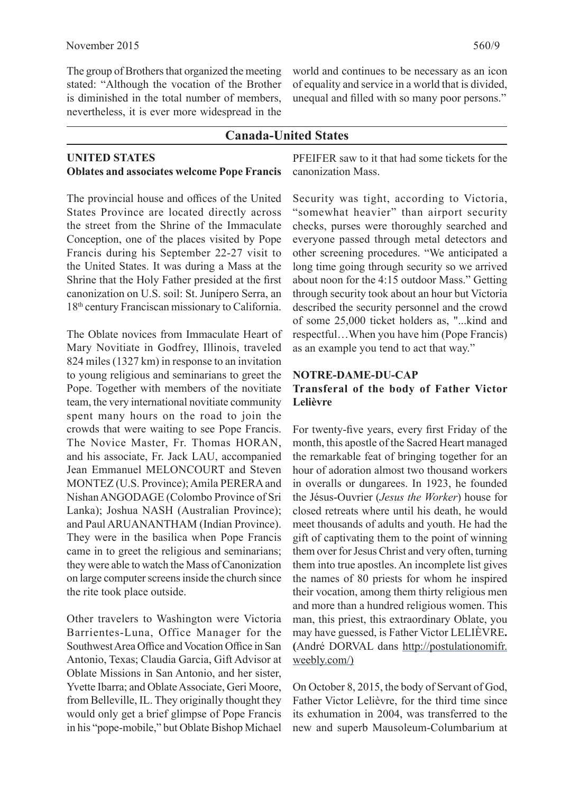The group of Brothers that organized the meeting stated: "Although the vocation of the Brother is diminished in the total number of members, nevertheless, it is ever more widespread in the

world and continues to be necessary as an icon of equality and service in a world that is divided, unequal and filled with so many poor persons."

# **Canada-United States**

#### **UNITED STATES Oblates and associates welcome Pope Francis**

The provincial house and offices of the United States Province are located directly across the street from the Shrine of the Immaculate Conception, one of the places visited by Pope Francis during his September 22-27 visit to the United States. It was during a Mass at the Shrine that the Holy Father presided at the first canonization on U.S. soil: St. Junípero Serra, an 18th century Franciscan missionary to California.

The Oblate novices from Immaculate Heart of Mary Novitiate in Godfrey, Illinois, traveled 824 miles (1327 km) in response to an invitation to young religious and seminarians to greet the Pope. Together with members of the novitiate team, the very international novitiate community spent many hours on the road to join the crowds that were waiting to see Pope Francis. The Novice Master, Fr. Thomas HORAN, and his associate, Fr. Jack LAU, accompanied Jean Emmanuel MELONCOURT and Steven MONTEZ (U.S. Province); Amila PERERA and Nishan ANGODAGE (Colombo Province of Sri Lanka); Joshua NASH (Australian Province); and Paul ARUANANTHAM (Indian Province). They were in the basilica when Pope Francis came in to greet the religious and seminarians; they were able to watch the Mass of Canonization on large computer screens inside the church since the rite took place outside.

Other travelers to Washington were Victoria Barrientes-Luna, Office Manager for the Southwest Area Office and Vocation Office in San Antonio, Texas; Claudia Garcia, Gift Advisor at Oblate Missions in San Antonio, and her sister, Yvette Ibarra; and Oblate Associate, Geri Moore, from Belleville, IL. They originally thought they would only get a brief glimpse of Pope Francis in his "pope-mobile," but Oblate Bishop Michael PFEIFER saw to it that had some tickets for the canonization Mass.

Security was tight, according to Victoria, "somewhat heavier" than airport security checks, purses were thoroughly searched and everyone passed through metal detectors and other screening procedures. "We anticipated a long time going through security so we arrived about noon for the 4:15 outdoor Mass." Getting through security took about an hour but Victoria described the security personnel and the crowd of some 25,000 ticket holders as, "...kind and respectful…When you have him (Pope Francis) as an example you tend to act that way."

#### **NOTRE-DAME-DU-CAP**

# **Transferal of the body of Father Victor Lelièvre**

For twenty-five years, every first Friday of the month, this apostle of the Sacred Heart managed the remarkable feat of bringing together for an hour of adoration almost two thousand workers in overalls or dungarees. In 1923, he founded the Jésus-Ouvrier (*Jesus the Worker*) house for closed retreats where until his death, he would meet thousands of adults and youth. He had the gift of captivating them to the point of winning them over for Jesus Christ and very often, turning them into true apostles. An incomplete list gives the names of 80 priests for whom he inspired their vocation, among them thirty religious men and more than a hundred religious women. This man, this priest, this extraordinary Oblate, you may have guessed, is Father Victor LELIÈVRE**. (**André DORVAL dans http://postulationomifr. weebly.com/)

On October 8, 2015, the body of Servant of God, Father Victor Lelièvre, for the third time since its exhumation in 2004, was transferred to the new and superb Mausoleum-Columbarium at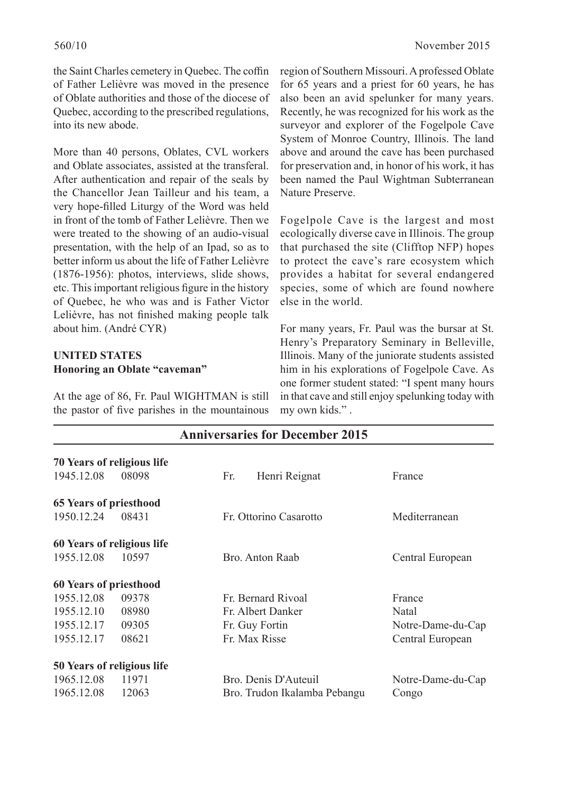the Saint Charles cemetery in Quebec. The coffin of Father Lelièvre was moved in the presence of Oblate authorities and those of the diocese of Quebec, according to the prescribed regulations, into its new abode.

More than 40 persons, Oblates, CVL workers and Oblate associates, assisted at the transferal. After authentication and repair of the seals by the Chancellor Jean Tailleur and his team, a very hope-filled Liturgy of the Word was held in front of the tomb of Father Lelièvre. Then we were treated to the showing of an audio-visual presentation, with the help of an Ipad, so as to better inform us about the life of Father Lelièvre (1876-1956): photos, interviews, slide shows, etc. This important religious figure in the history of Quebec, he who was and is Father Victor Lelièvre, has not finished making people talk about him. (André CYR)

# **UNITED STATES Honoring an Oblate "caveman"**

At the age of 86, Fr. Paul WIGHTMAN is still the pastor of five parishes in the mountainous region of Southern Missouri. A professed Oblate for 65 years and a priest for 60 years, he has also been an avid spelunker for many years. Recently, he was recognized for his work as the surveyor and explorer of the Fogelpole Cave System of Monroe Country, Illinois. The land above and around the cave has been purchased for preservation and, in honor of his work, it has been named the Paul Wightman Subterranean Nature Preserve.

Fogelpole Cave is the largest and most ecologically diverse cave in Illinois. The group that purchased the site (Clifftop NFP) hopes to protect the cave's rare ecosystem which provides a habitat for several endangered species, some of which are found nowhere else in the world.

For many years, Fr. Paul was the bursar at St. Henry's Preparatory Seminary in Belleville, Illinois. Many of the juniorate students assisted him in his explorations of Fogelpole Cave. As one former student stated: "I spent many hours in that cave and still enjoy spelunking today with my own kids." .

| <b>Anniversaries for December 2015</b> |       |                              |                   |  |  |  |  |  |
|----------------------------------------|-------|------------------------------|-------------------|--|--|--|--|--|
| 70 Years of religious life             |       |                              |                   |  |  |  |  |  |
| 1945.12.08                             | 08098 | Henri Reignat<br>Fr.         | France            |  |  |  |  |  |
| <b>65 Years of priesthood</b>          |       |                              |                   |  |  |  |  |  |
| 1950.12.24                             | 08431 | Fr. Ottorino Casarotto       | Mediterranean     |  |  |  |  |  |
| 60 Years of religious life             |       |                              |                   |  |  |  |  |  |
| 1955.12.08                             | 10597 | Bro. Anton Raab              | Central European  |  |  |  |  |  |
| 60 Years of priesthood                 |       |                              |                   |  |  |  |  |  |
| 1955.12.08                             | 09378 | Fr. Bernard Rivoal           | France            |  |  |  |  |  |
| 1955.12.10                             | 08980 | Fr. Albert Danker            | Natal             |  |  |  |  |  |
| 1955.12.17                             | 09305 | Fr. Guy Fortin               | Notre-Dame-du-Cap |  |  |  |  |  |
| 1955.12.17                             | 08621 | Fr. Max Risse                | Central European  |  |  |  |  |  |
| 50 Years of religious life             |       |                              |                   |  |  |  |  |  |
| 1965.12.08                             | 11971 | Bro. Denis D'Auteuil         | Notre-Dame-du-Cap |  |  |  |  |  |
| 1965.12.08                             | 12063 | Bro. Trudon Ikalamba Pebangu | Congo             |  |  |  |  |  |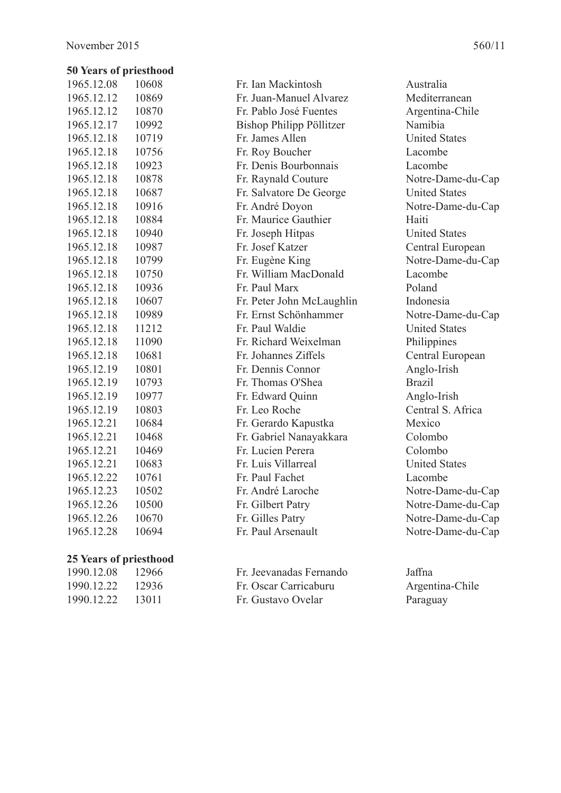# **50 Years of priesthood**

| 1965.12.08 | 10608 |
|------------|-------|
| 1965.12.12 | 10869 |
| 1965.12.12 | 10870 |
| 1965.12.17 | 10992 |
| 1965.12.18 | 10719 |
| 1965.12.18 | 10756 |
| 1965.12.18 | 10923 |
| 1965.12.18 | 10878 |
| 1965.12.18 | 10687 |
| 1965.12.18 | 10916 |
| 1965.12.18 | 10884 |
| 1965.12.18 | 10940 |
| 1965.12.18 | 10987 |
| 1965.12.18 | 10799 |
| 1965.12.18 | 10750 |
| 1965.12.18 | 10936 |
| 1965.12.18 | 10607 |
| 1965.12.18 | 10989 |
| 1965.12.18 | 11212 |
| 1965.12.18 | 11090 |
| 1965.12.18 | 10681 |
| 1965.12.19 | 10801 |
| 1965.12.19 | 10793 |
| 1965.12.19 | 10977 |
| 1965.12.19 | 10803 |
| 1965.12.21 | 10684 |
| 1965.12.21 | 10468 |
| 1965.12.21 | 10469 |
| 1965.12.21 | 10683 |
| 1965.12.22 | 10761 |
| 1965.12.23 | 10502 |
| 1965.12.26 | 10500 |
| 1965.12.26 | 10670 |
| 1965.12.28 | 10694 |

#### **25 Years of priesthood**

| 1990.12.08 | 12966 |
|------------|-------|
| 1990.12.22 | 12936 |
| 1990.12.22 | 13011 |

| 1965.12.12 | 10869 | Fr. Juan-Manuel Alvarez   | Mediterranean        |
|------------|-------|---------------------------|----------------------|
| 1965.12.12 | 10870 | Fr. Pablo José Fuentes    | Argentina-Chile      |
| 1965.12.17 | 10992 | Bishop Philipp Pöllitzer  | Namibia              |
| 1965.12.18 | 10719 | Fr. James Allen           | <b>United States</b> |
| 1965.12.18 | 10756 | Fr. Roy Boucher           | Lacombe              |
| 1965.12.18 | 10923 | Fr. Denis Bourbonnais     | Lacombe              |
| 1965.12.18 | 10878 | Fr. Raynald Couture       | Notre-Dame-du-Cap    |
| 1965.12.18 | 10687 | Fr. Salvatore De George   | <b>United States</b> |
| 1965.12.18 | 10916 | Fr. André Doyon           | Notre-Dame-du-Cap    |
| 1965.12.18 | 10884 | Fr. Maurice Gauthier      | Haiti                |
| 1965.12.18 | 10940 | Fr. Joseph Hitpas         | <b>United States</b> |
| 1965.12.18 | 10987 | Fr. Josef Katzer          | Central European     |
| 1965.12.18 | 10799 | Fr. Eugène King           | Notre-Dame-du-Cap    |
| 1965.12.18 | 10750 | Fr. William MacDonald     | Lacombe              |
| 1965.12.18 | 10936 | Fr. Paul Marx             | Poland               |
| 1965.12.18 | 10607 | Fr. Peter John McLaughlin | Indonesia            |
| 1965.12.18 | 10989 | Fr. Ernst Schönhammer     | Notre-Dame-du-Cap    |
| 1965.12.18 | 11212 | Fr. Paul Waldie           | <b>United States</b> |
| 1965.12.18 | 11090 | Fr. Richard Weixelman     | Philippines          |
| 1965.12.18 | 10681 | Fr. Johannes Ziffels      | Central European     |
| 1965.12.19 | 10801 | Fr. Dennis Connor         | Anglo-Irish          |
| 1965.12.19 | 10793 | Fr. Thomas O'Shea         | <b>Brazil</b>        |
| 1965.12.19 | 10977 | Fr. Edward Quinn          | Anglo-Irish          |
| 1965.12.19 | 10803 | Fr. Leo Roche             | Central S. Africa    |
| 1965.12.21 | 10684 | Fr. Gerardo Kapustka      | Mexico               |
| 1965.12.21 | 10468 | Fr. Gabriel Nanayakkara   | Colombo              |
| 1965.12.21 | 10469 | Fr. Lucien Perera         | Colombo              |
| 1965.12.21 | 10683 | Fr. Luis Villarreal       | <b>United States</b> |
| 1965.12.22 | 10761 | Fr. Paul Fachet           | Lacombe              |
| 1965.12.23 | 10502 | Fr. André Laroche         | Notre-Dame-du-Cap    |
| 1965.12.26 | 10500 | Fr. Gilbert Patry         | Notre-Dame-du-Cap    |
| 1965.12.26 | 10670 | Fr. Gilles Patry          | Notre-Dame-du-Cap    |
| 1965.12.28 | 10694 | Fr. Paul Arsenault        | Notre-Dame-du-Cap    |
|            |       |                           |                      |

Fr. Jeevanadas Fernando Jaffna 1990.12.22 12936 Fr. Oscar Carricaburu Argentina-Chile Fr. Gustavo Ovelar Paraguay